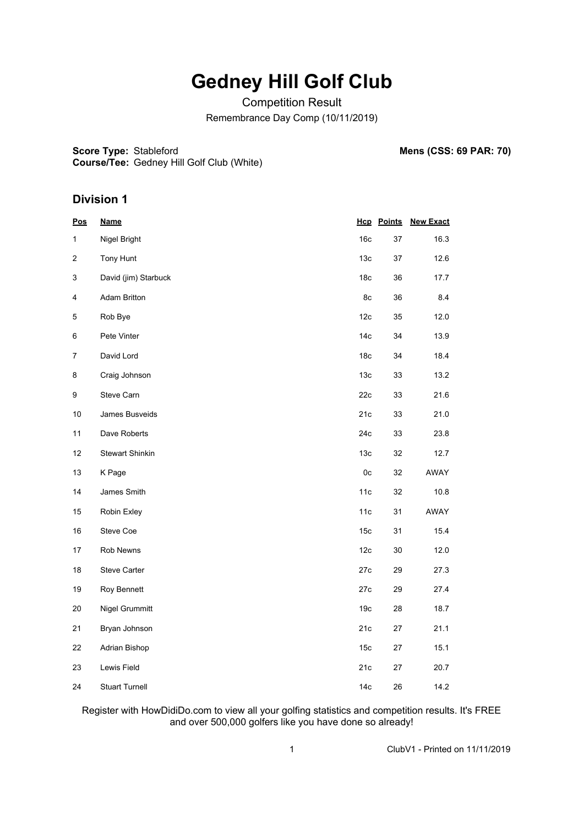## **Gedney Hill Golf Club**

Competition Result Remembrance Day Comp (10/11/2019)

**Score Type:**

**Mens (CSS: 69 PAR: 70)** 

**Course/Tee:** Gedney Hill Golf Club (White)

#### **Division 1**

| $\underline{\mathsf{Pos}}$ | <u>Name</u>            |                 | <b>Hcp</b> Points | <b>New Exact</b> |  |
|----------------------------|------------------------|-----------------|-------------------|------------------|--|
| 1                          | Nigel Bright           | 16 <sub>c</sub> | 37                | 16.3             |  |
| 2                          | Tony Hunt              | 13 <sub>c</sub> | 37                | 12.6             |  |
| 3                          | David (jim) Starbuck   | 18 <sub>c</sub> | 36                | 17.7             |  |
| 4                          | <b>Adam Britton</b>    | 8c              | 36                | 8.4              |  |
| $\mathbf 5$                | Rob Bye                | 12c             | 35                | 12.0             |  |
| 6                          | Pete Vinter            | 14 <sub>c</sub> | 34                | 13.9             |  |
| $\overline{7}$             | David Lord             | 18 <sub>c</sub> | 34                | 18.4             |  |
| 8                          | Craig Johnson          | 13 <sub>c</sub> | 33                | 13.2             |  |
| 9                          | Steve Carn             | 22c             | 33                | 21.6             |  |
| $10$                       | James Busveids         | 21c             | 33                | 21.0             |  |
| 11                         | Dave Roberts           | 24c             | 33                | 23.8             |  |
| 12                         | <b>Stewart Shinkin</b> | 13c             | 32                | 12.7             |  |
| 13                         | K Page                 | 0c              | 32                | AWAY             |  |
| 14                         | James Smith            | 11c             | 32                | 10.8             |  |
| 15                         | Robin Exley            | 11c             | 31                | AWAY             |  |
| 16                         | Steve Coe              | 15c             | 31                | 15.4             |  |
| 17                         | Rob Newns              | 12 <sub>c</sub> | 30                | 12.0             |  |
| 18                         | Steve Carter           | 27c             | 29                | 27.3             |  |
| 19                         | Roy Bennett            | 27c             | 29                | 27.4             |  |
| $20\,$                     | Nigel Grummitt         | 19 <sub>c</sub> | 28                | 18.7             |  |
| 21                         | Bryan Johnson          | 21c             | 27                | 21.1             |  |
| 22                         | Adrian Bishop          | 15c             | 27                | 15.1             |  |
| 23                         | Lewis Field            | 21c             | 27                | 20.7             |  |
| 24                         | <b>Stuart Turnell</b>  | 14c             | 26                | 14.2             |  |

Register with HowDidiDo.com to view all your golfing statistics and competition results. It's FREE and over 500,000 golfers like you have done so already!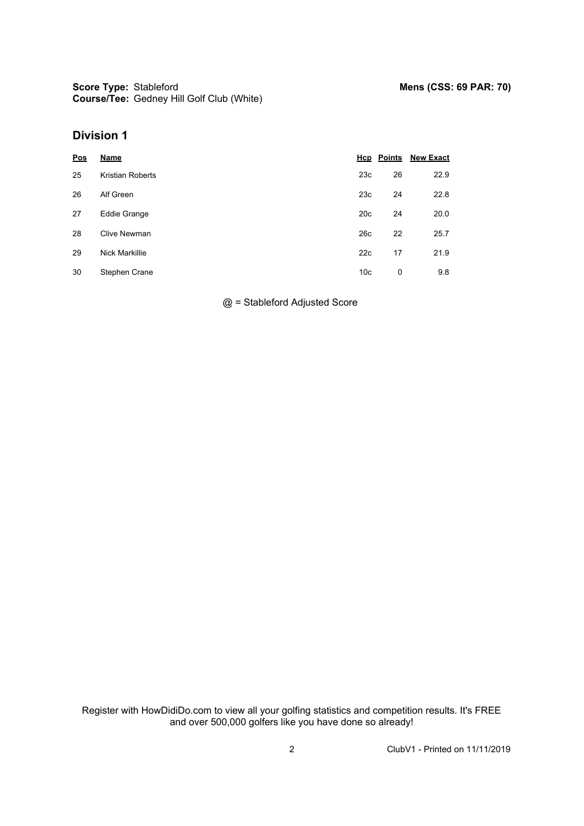**Score Type: Course/Tee:** Gedney Hill Golf Club (White)

#### **Division 1**

| Pos | <b>Name</b>           |                 | <b>Hcp</b> Points | <b>New Exact</b> |
|-----|-----------------------|-----------------|-------------------|------------------|
| 25  | Kristian Roberts      | 23c             | 26                | 22.9             |
| 26  | Alf Green             | 23c             | 24                | 22.8             |
| 27  | Eddie Grange          | 20 <sub>c</sub> | 24                | 20.0             |
| 28  | Clive Newman          | 26c             | 22                | 25.7             |
| 29  | <b>Nick Markillie</b> | 22c             | 17                | 21.9             |
| 30  | Stephen Crane         | 10 <sub>c</sub> | 0                 | 9.8              |

@ = Stableford Adjusted Score

Register with HowDidiDo.com to view all your golfing statistics and competition results. It's FREE and over 500,000 golfers like you have done so already!